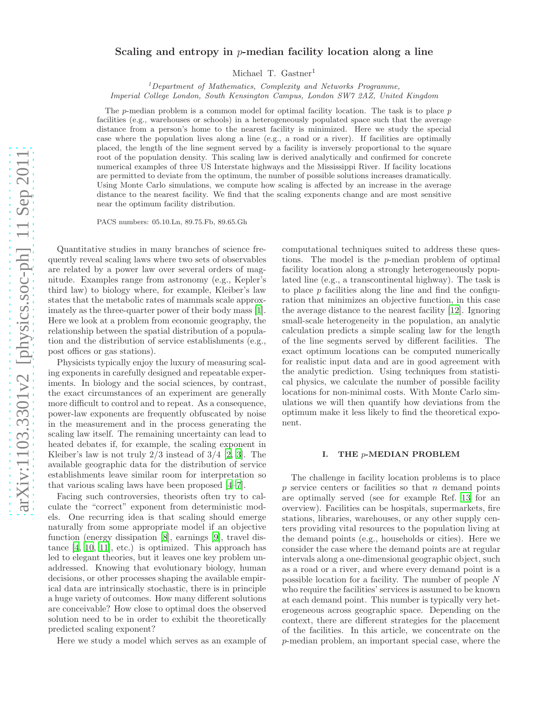# arXiv:1103.3301v2 [physics.soc-ph] 11 Sep 2011 [arXiv:1103.3301v2 \[physics.soc-ph\] 11 Sep 2011](http://arxiv.org/abs/1103.3301v2)

# Scaling and entropy in  $p$ -median facility location along a line

Michael T. Gastner<sup>1</sup>

<sup>1</sup>Department of Mathematics, Complexity and Networks Programme, Imperial College London, South Kensington Campus, London SW7 2AZ, United Kingdom

The p-median problem is a common model for optimal facility location. The task is to place  $p$ facilities (e.g., warehouses or schools) in a heterogeneously populated space such that the average distance from a person's home to the nearest facility is minimized. Here we study the special case where the population lives along a line (e.g., a road or a river). If facilities are optimally placed, the length of the line segment served by a facility is inversely proportional to the square root of the population density. This scaling law is derived analytically and confirmed for concrete numerical examples of three US Interstate highways and the Mississippi River. If facility locations are permitted to deviate from the optimum, the number of possible solutions increases dramatically. Using Monte Carlo simulations, we compute how scaling is affected by an increase in the average distance to the nearest facility. We find that the scaling exponents change and are most sensitive near the optimum facility distribution.

PACS numbers: 05.10.Ln, 89.75.Fb, 89.65.Gh

Quantitative studies in many branches of science frequently reveal scaling laws where two sets of observables are related by a power law over several orders of magnitude. Examples range from astronomy (e.g., Kepler's third law) to biology where, for example, Kleiber's law states that the metabolic rates of mammals scale approximately as the three-quarter power of their body mass [\[1\]](#page-6-0). Here we look at a problem from economic geography, the relationship between the spatial distribution of a population and the distribution of service establishments (e.g., post offices or gas stations).

Physicists typically enjoy the luxury of measuring scaling exponents in carefully designed and repeatable experiments. In biology and the social sciences, by contrast, the exact circumstances of an experiment are generally more difficult to control and to repeat. As a consequence, power-law exponents are frequently obfuscated by noise in the measurement and in the process generating the scaling law itself. The remaining uncertainty can lead to heated debates if, for example, the scaling exponent in Kleiber's law is not truly  $2/3$  instead of  $3/4$  [\[2,](#page-6-1) [3\]](#page-6-2). The available geographic data for the distribution of service establishments leave similar room for interpretation so that various scaling laws have been proposed [\[4](#page-6-3)[–7\]](#page-6-4).

Facing such controversies, theorists often try to calculate the "correct" exponent from deterministic models. One recurring idea is that scaling should emerge naturally from some appropriate model if an objective function (energy dissipation [\[8](#page-6-5)], earnings [\[9](#page-6-6)], travel distance [\[4,](#page-6-3) [10](#page-6-7), [11\]](#page-6-8), etc.) is optimized. This approach has led to elegant theories, but it leaves one key problem unaddressed. Knowing that evolutionary biology, human decisions, or other processes shaping the available empirical data are intrinsically stochastic, there is in principle a huge variety of outcomes. How many different solutions are conceivable? How close to optimal does the observed solution need to be in order to exhibit the theoretically predicted scaling exponent?

Here we study a model which serves as an example of

computational techniques suited to address these questions. The model is the p-median problem of optimal facility location along a strongly heterogeneously populated line (e.g., a transcontinental highway). The task is to place  $p$  facilities along the line and find the configuration that minimizes an objective function, in this case the average distance to the nearest facility [\[12\]](#page-6-9). Ignoring small-scale heterogeneity in the population, an analytic calculation predicts a simple scaling law for the length of the line segments served by different facilities. The exact optimum locations can be computed numerically for realistic input data and are in good agreement with the analytic prediction. Using techniques from statistical physics, we calculate the number of possible facility locations for non-minimal costs. With Monte Carlo simulations we will then quantify how deviations from the optimum make it less likely to find the theoretical exponent.

# I. THE p-MEDIAN PROBLEM

The challenge in facility location problems is to place  $p$  service centers or facilities so that  $n$  demand points are optimally served (see for example Ref. [13](#page-6-10) for an overview). Facilities can be hospitals, supermarkets, fire stations, libraries, warehouses, or any other supply centers providing vital resources to the population living at the demand points (e.g., households or cities). Here we consider the case where the demand points are at regular intervals along a one-dimensional geographic object, such as a road or a river, and where every demand point is a possible location for a facility. The number of people N who require the facilities' services is assumed to be known at each demand point. This number is typically very heterogeneous across geographic space. Depending on the context, there are different strategies for the placement of the facilities. In this article, we concentrate on the p-median problem, an important special case, where the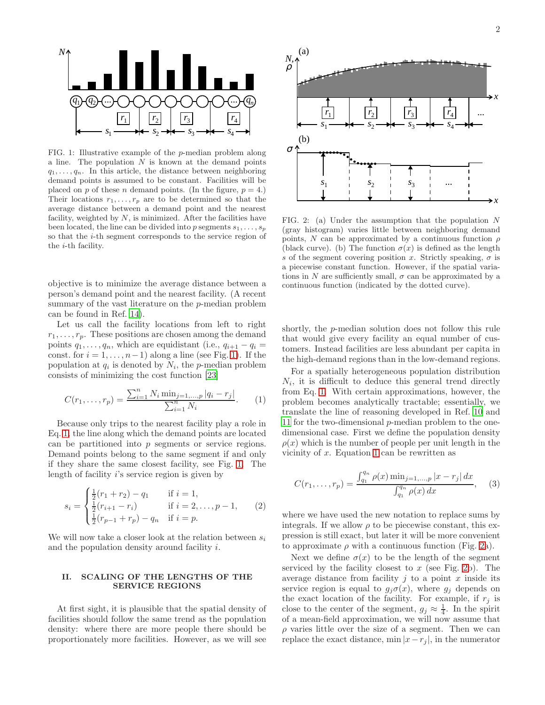

<span id="page-1-0"></span>FIG. 1: Illustrative example of the p-median problem along a line. The population  $N$  is known at the demand points  $q_1, \ldots, q_n$ . In this article, the distance between neighboring demand points is assumed to be constant. Facilities will be placed on p of these n demand points. (In the figure,  $p = 4$ .) Their locations  $r_1, \ldots, r_p$  are to be determined so that the average distance between a demand point and the nearest facility, weighted by  $N$ , is minimized. After the facilities have been located, the line can be divided into p segments  $s_1, \ldots, s_n$ so that the i-th segment corresponds to the service region of the i-th facility.

objective is to minimize the average distance between a person's demand point and the nearest facility. (A recent summary of the vast literature on the *p*-median problem can be found in Ref. [14](#page-6-11)).

Let us call the facility locations from left to right  $r_1, \ldots, r_p$ . These positions are chosen among the demand points  $q_1, \ldots, q_n$ , which are equidistant (i.e.,  $q_{i+1} - q_i =$ const. for  $i = 1, \ldots, n-1$ ) along a line (see Fig. [1\)](#page-1-0). If the population at  $q_i$  is denoted by  $N_i$ , the *p*-median problem consists of minimizing the cost function [\[23\]](#page-6-12)

<span id="page-1-1"></span>
$$
C(r_1, \dots, r_p) = \frac{\sum_{i=1}^n N_i \min_{j=1,\dots,p} |q_i - r_j|}{\sum_{i=1}^n N_i}.
$$
 (1)

Because only trips to the nearest facility play a role in Eq. [1,](#page-1-1) the line along which the demand points are located can be partitioned into p segments or service regions. Demand points belong to the same segment if and only if they share the same closest facility, see Fig. [1.](#page-1-0) The length of facility i's service region is given by

$$
s_i = \begin{cases} \frac{1}{2}(r_1 + r_2) - q_1 & \text{if } i = 1, \\ \frac{1}{2}(r_{i+1} - r_i) & \text{if } i = 2, \dots, p - 1, \\ \frac{1}{2}(r_{p-1} + r_p) - q_n & \text{if } i = p. \end{cases}
$$
 (2)

We will now take a closer look at the relation between  $s_i$ and the population density around facility i.

# II. SCALING OF THE LENGTHS OF THE SERVICE REGIONS

At first sight, it is plausible that the spatial density of facilities should follow the same trend as the population density: where there are more people there should be proportionately more facilities. However, as we will see



<span id="page-1-2"></span>FIG. 2: (a) Under the assumption that the population N (gray histogram) varies little between neighboring demand points, N can be approximated by a continuous function  $\rho$ (black curve). (b) The function  $\sigma(x)$  is defined as the length s of the segment covering position x. Strictly speaking,  $\sigma$  is a piecewise constant function. However, if the spatial variations in N are sufficiently small,  $\sigma$  can be approximated by a continuous function (indicated by the dotted curve).

shortly, the p-median solution does not follow this rule that would give every facility an equal number of customers. Instead facilities are less abundant per capita in the high-demand regions than in the low-demand regions.

For a spatially heterogeneous population distribution  $N_i$ , it is difficult to deduce this general trend directly from Eq. [1.](#page-1-1) With certain approximations, however, the problem becomes analytically tractable; essentially, we translate the line of reasoning developed in Ref. [10](#page-6-7) and [11](#page-6-8) for the two-dimensional p-median problem to the onedimensional case. First we define the population density  $\rho(x)$  which is the number of people per unit length in the vicinity of  $x$ . Equation [1](#page-1-1) can be rewritten as

<span id="page-1-3"></span>
$$
C(r_1, \ldots, r_p) = \frac{\int_{q_1}^{q_n} \rho(x) \min_{j=1,\ldots,p} |x - r_j| dx}{\int_{q_1}^{q_n} \rho(x) dx},
$$
 (3)

where we have used the new notation to replace sums by integrals. If we allow  $\rho$  to be piecewise constant, this expression is still exact, but later it will be more convenient to approximate  $\rho$  with a continuous function (Fig. [2a](#page-1-2)).

Next we define  $\sigma(x)$  to be the length of the segment serviced by the facility closest to  $x$  (see Fig. [2b](#page-1-2)). The average distance from facility  $j$  to a point  $x$  inside its service region is equal to  $g_i\sigma(x)$ , where  $g_i$  depends on the exact location of the facility. For example, if  $r_j$  is close to the center of the segment,  $g_j \approx \frac{1}{4}$ . In the spirit of a mean-field approximation, we will now assume that  $\rho$  varies little over the size of a segment. Then we can replace the exact distance, min  $|x-r_j|$ , in the numerator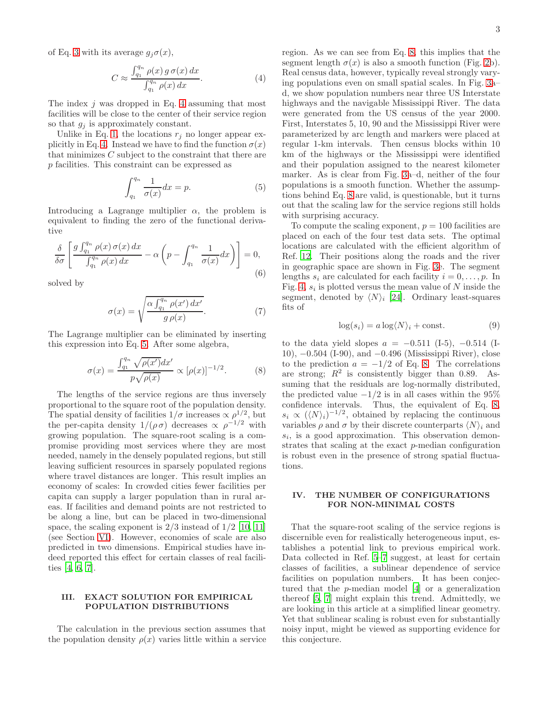of Eq. [3](#page-1-3) with its average  $g_i\sigma(x)$ ,

<span id="page-2-0"></span>
$$
C \approx \frac{\int_{q_1}^{q_n} \rho(x) g \sigma(x) dx}{\int_{q_1}^{q_n} \rho(x) dx}.
$$
 (4)

The index  $j$  was dropped in Eq. [4](#page-2-0) assuming that most facilities will be close to the center of their service region so that  $q_i$  is approximately constant.

Unlike in Eq. [1,](#page-1-1) the locations  $r_j$  no longer appear ex-plicitly in Eq. [4.](#page-2-0) Instead we have to find the function  $\sigma(x)$ that minimizes  $C$  subject to the constraint that there are p facilities. This constraint can be expressed as

<span id="page-2-1"></span>
$$
\int_{q_1}^{q_n} \frac{1}{\sigma(x)} dx = p.
$$
 (5)

Introducing a Lagrange multiplier  $\alpha$ , the problem is equivalent to finding the zero of the functional derivative

$$
\frac{\delta}{\delta\sigma} \left[ \frac{g \int_{q_1}^{q_n} \rho(x) \sigma(x) dx}{\int_{q_1}^{q_n} \rho(x) dx} - \alpha \left( p - \int_{q_1}^{q_n} \frac{1}{\sigma(x)} dx \right) \right] = 0,
$$
\n(6)

solved by

$$
\sigma(x) = \sqrt{\frac{\alpha \int_{q_1}^{q_n} \rho(x') dx'}{g \rho(x)}}.
$$
\n(7)

The Lagrange multiplier can be eliminated by inserting this expression into Eq. [5.](#page-2-1) After some algebra,

<span id="page-2-2"></span>
$$
\sigma(x) = \frac{\int_{q_1}^{q_n} \sqrt{\rho(x')} dx'}{p \sqrt{\rho(x)}} \propto [\rho(x)]^{-1/2}.
$$
 (8)

The lengths of the service regions are thus inversely proportional to the square root of the population density. The spatial density of facilities  $1/\sigma$  increases  $\propto \rho^{1/2}$ , but the per-capita density  $1/(\rho \sigma)$  decreases  $\propto \rho^{-1/2}$  with growing population. The square-root scaling is a compromise providing most services where they are most needed, namely in the densely populated regions, but still leaving sufficient resources in sparsely populated regions where travel distances are longer. This result implies an economy of scales: In crowded cities fewer facilities per capita can supply a larger population than in rural areas. If facilities and demand points are not restricted to be along a line, but can be placed in two-dimensional space, the scaling exponent is  $2/3$  instead of  $1/2$  [\[10](#page-6-7), [11](#page-6-8)] (see Section [VI\)](#page-5-0). However, economies of scale are also predicted in two dimensions. Empirical studies have indeed reported this effect for certain classes of real facilities [\[4](#page-6-3), [6](#page-6-13), [7](#page-6-4)].

# <span id="page-2-4"></span>III. EXACT SOLUTION FOR EMPIRICAL POPULATION DISTRIBUTIONS

The calculation in the previous section assumes that the population density  $\rho(x)$  varies little within a service region. As we can see from Eq. [8,](#page-2-2) this implies that the segment length  $\sigma(x)$  is also a smooth function (Fig. [2b](#page-1-2)). Real census data, however, typically reveal strongly varying populations even on small spatial scales. In Fig. [3a](#page-3-0)– d, we show population numbers near three US Interstate highways and the navigable Mississippi River. The data were generated from the US census of the year 2000. First, Interstates 5, 10, 90 and the Mississippi River were parameterized by arc length and markers were placed at regular 1-km intervals. Then census blocks within 10 km of the highways or the Mississippi were identified and their population assigned to the nearest kilometer marker. As is clear from Fig. [3a](#page-3-0)–d, neither of the four populations is a smooth function. Whether the assumptions behind Eq. [8](#page-2-2) are valid, is questionable, but it turns out that the scaling law for the service regions still holds with surprising accuracy.

To compute the scaling exponent,  $p = 100$  facilities are placed on each of the four test data sets. The optimal locations are calculated with the efficient algorithm of Ref. [12.](#page-6-9) Their positions along the roads and the river in geographic space are shown in Fig. [3e](#page-3-0). The segment lengths  $s_i$  are calculated for each facility  $i = 0, \ldots, p$ . In Fig. [4,](#page-3-1)  $s_i$  is plotted versus the mean value of N inside the segment, denoted by  $\langle N \rangle_i$  [\[24](#page-6-14)]. Ordinary least-squares fits of

<span id="page-2-3"></span>
$$
\log(s_i) = a \log \langle N \rangle_i + \text{const.} \tag{9}
$$

to the data yield slopes  $a = -0.511$  (I-5),  $-0.514$  (I-10), −0.504 (I-90), and −0.496 (Mississippi River), close to the prediction  $a = -1/2$  of Eq. [8.](#page-2-2) The correlations are strong;  $R^2$  is consistently bigger than 0.89. Assuming that the residuals are log-normally distributed, the predicted value  $-1/2$  is in all cases within the 95% confidence intervals. Thus, the equivalent of Eq. [8,](#page-2-2)  $s_i \propto (\langle N \rangle_i)^{-1/2}$ , obtained by replacing the continuous variables  $\rho$  and  $\sigma$  by their discrete counterparts  $\langle N \rangle_i$  and  $s_i$ , is a good approximation. This observation demonstrates that scaling at the exact p-median configuration is robust even in the presence of strong spatial fluctuations.

### IV. THE NUMBER OF CONFIGURATIONS FOR NON-MINIMAL COSTS

That the square-root scaling of the service regions is discernible even for realistically heterogeneous input, establishes a potential link to previous empirical work. Data collected in Ref. [5](#page-6-15)[–7](#page-6-4) suggest, at least for certain classes of facilities, a sublinear dependence of service facilities on population numbers. It has been conjectured that the p-median model [\[4\]](#page-6-3) or a generalization thereof [\[5](#page-6-15), [7\]](#page-6-4) might explain this trend. Admittedly, we are looking in this article at a simplified linear geometry. Yet that sublinear scaling is robust even for substantially noisy input, might be viewed as supporting evidence for this conjecture.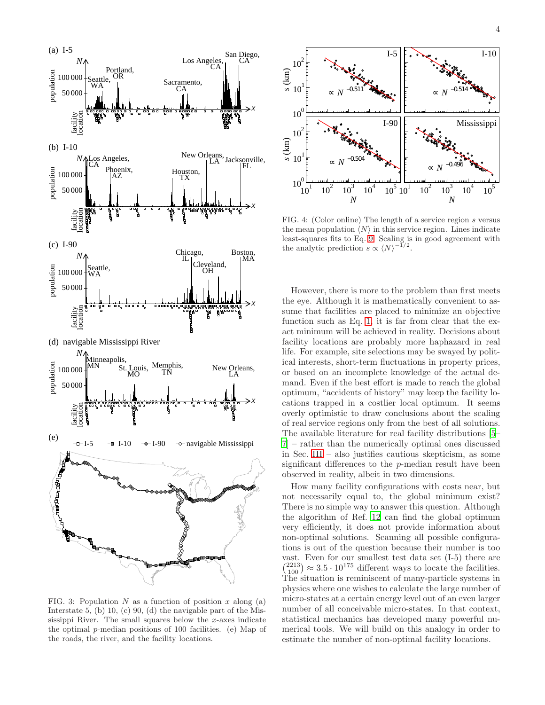

<span id="page-3-0"></span>FIG. 3: Population  $N$  as a function of position  $x$  along (a) Interstate 5, (b) 10, (c) 90, (d) the navigable part of the Mississippi River. The small squares below the  $x$ -axes indicate the optimal p-median positions of 100 facilities. (e) Map of the roads, the river, and the facility locations.



<span id="page-3-1"></span>FIG. 4: (Color online) The length of a service region s versus the mean population  $\langle N \rangle$  in this service region. Lines indicate least-squares fits to Eq. [9.](#page-2-3) Scaling is in good agreement with the analytic prediction  $s \propto \langle N \rangle^{-1/2}$ .

However, there is more to the problem than first meets the eye. Although it is mathematically convenient to assume that facilities are placed to minimize an objective function such as Eq. [1,](#page-1-1) it is far from clear that the exact minimum will be achieved in reality. Decisions about facility locations are probably more haphazard in real life. For example, site selections may be swayed by political interests, short-term fluctuations in property prices, or based on an incomplete knowledge of the actual demand. Even if the best effort is made to reach the global optimum, "accidents of history" may keep the facility locations trapped in a costlier local optimum. It seems overly optimistic to draw conclusions about the scaling of real service regions only from the best of all solutions. The available literature for real facility distributions [\[5](#page-6-15)– [7\]](#page-6-4) – rather than the numerically optimal ones discussed in Sec. [III](#page-2-4) – also justifies cautious skepticism, as some significant differences to the p-median result have been observed in reality, albeit in two dimensions.

How many facility configurations with costs near, but not necessarily equal to, the global minimum exist? There is no simple way to answer this question. Although the algorithm of Ref. [12](#page-6-9) can find the global optimum very efficiently, it does not provide information about non-optimal solutions. Scanning all possible configurations is out of the question because their number is too vast. Even for our smallest test data set (I-5) there are  $\binom{2213}{100} \approx 3.5 \cdot 10^{175}$  different ways to locate the facilities. The situation is reminiscent of many-particle systems in physics where one wishes to calculate the large number of micro-states at a certain energy level out of an even larger number of all conceivable micro-states. In that context, statistical mechanics has developed many powerful numerical tools. We will build on this analogy in order to estimate the number of non-optimal facility locations.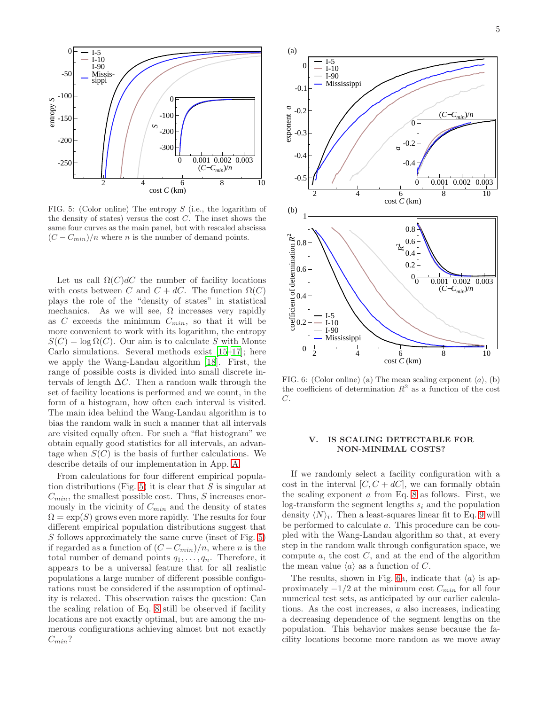

<span id="page-4-0"></span>FIG. 5: (Color online) The entropy  $S$  (i.e., the logarithm of the density of states) versus the cost  $C$ . The inset shows the same four curves as the main panel, but with rescaled abscissa  $(C - C_{min})/n$  where *n* is the number of demand points.

Let us call  $\Omega(C)dC$  the number of facility locations with costs between C and  $C + dC$ . The function  $\Omega(C)$ plays the role of the "density of states" in statistical mechanics. As we will see,  $\Omega$  increases very rapidly as C exceeds the minimum  $C_{min}$ , so that it will be more convenient to work with its logarithm, the entropy  $S(C) = \log \Omega(C)$ . Our aim is to calculate S with Monte Carlo simulations. Several methods exist [\[15–](#page-6-16)[17\]](#page-6-17); here we apply the Wang-Landau algorithm [\[18\]](#page-6-18). First, the range of possible costs is divided into small discrete intervals of length  $\Delta C$ . Then a random walk through the set of facility locations is performed and we count, in the form of a histogram, how often each interval is visited. The main idea behind the Wang-Landau algorithm is to bias the random walk in such a manner that all intervals are visited equally often. For such a "flat histogram" we obtain equally good statistics for all intervals, an advantage when  $S(C)$  is the basis of further calculations. We describe details of our implementation in App. [A.](#page-5-1)

From calculations for four different empirical popula-tion distributions (Fig. [5\)](#page-4-0) it is clear that  $S$  is singular at  $C_{min}$ , the smallest possible cost. Thus, S increases enormously in the vicinity of  $C_{min}$  and the density of states  $\Omega = \exp(S)$  grows even more rapidly. The results for four different empirical population distributions suggest that S follows approximately the same curve (inset of Fig. [5\)](#page-4-0) if regarded as a function of  $(C - C_{min})/n$ , where n is the total number of demand points  $q_1, \ldots, q_n$ . Therefore, it appears to be a universal feature that for all realistic populations a large number of different possible configurations must be considered if the assumption of optimality is relaxed. This observation raises the question: Can the scaling relation of Eq. [8](#page-2-2) still be observed if facility locations are not exactly optimal, but are among the numerous configurations achieving almost but not exactly  $C_{min}$ ?



<span id="page-4-1"></span>FIG. 6: (Color online) (a) The mean scaling exponent  $\langle a \rangle$ , (b) the coefficient of determination  $R^2$  as a function of the cost C.

# V. IS SCALING DETECTABLE FOR NON-MINIMAL COSTS?

If we randomly select a facility configuration with a cost in the interval  $[C, C + dC]$ , we can formally obtain the scaling exponent  $a$  from Eq. [8](#page-2-2) as follows. First, we log-transform the segment lengths  $s_i$  and the population density  $\langle N \rangle_i$ . Then a least-squares linear fit to Eq. [9](#page-2-3) will be performed to calculate a. This procedure can be coupled with the Wang-Landau algorithm so that, at every step in the random walk through configuration space, we compute  $a$ , the cost  $C$ , and at the end of the algorithm the mean value  $\langle a \rangle$  as a function of C.

The results, shown in Fig. [6a](#page-4-1), indicate that  $\langle a \rangle$  is approximately  $-1/2$  at the minimum cost  $C_{min}$  for all four numerical test sets, as anticipated by our earlier calculations. As the cost increases, a also increases, indicating a decreasing dependence of the segment lengths on the population. This behavior makes sense because the facility locations become more random as we move away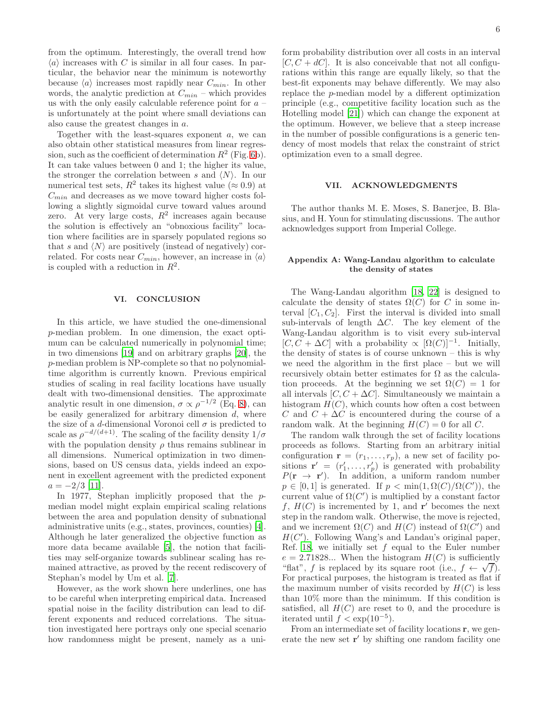from the optimum. Interestingly, the overall trend how  $\langle a \rangle$  increases with C is similar in all four cases. In particular, the behavior near the minimum is noteworthy because  $\langle a \rangle$  increases most rapidly near  $C_{min}$ . In other words, the analytic prediction at  $C_{min}$  – which provides us with the only easily calculable reference point for  $a$ is unfortunately at the point where small deviations can also cause the greatest changes in a.

Together with the least-squares exponent a, we can also obtain other statistical measures from linear regression, such as the coefficient of determination  $R^2$  (Fig. [6b](#page-4-1)). It can take values between 0 and 1; the higher its value, the stronger the correlation between s and  $\langle N \rangle$ . In our numerical test sets,  $R^2$  takes its highest value ( $\approx 0.9$ ) at  $C_{min}$  and decreases as we move toward higher costs following a slightly sigmoidal curve toward values around zero. At very large costs,  $R^2$  increases again because the solution is effectively an "obnoxious facility" location where facilities are in sparsely populated regions so that s and  $\langle N \rangle$  are positively (instead of negatively) correlated. For costs near  $C_{min}$ , however, an increase in  $\langle a \rangle$ is coupled with a reduction in  $R^2$ .

### <span id="page-5-0"></span>VI. CONCLUSION

In this article, we have studied the one-dimensional p-median problem. In one dimension, the exact optimum can be calculated numerically in polynomial time; in two dimensions [\[19\]](#page-6-19) and on arbitrary graphs [\[20](#page-6-20)], the p-median problem is NP-complete so that no polynomialtime algorithm is currently known. Previous empirical studies of scaling in real facility locations have usually dealt with two-dimensional densities. The approximate analytic result in one dimension,  $\sigma \propto \rho^{-1/2}$  (Eq. [8\)](#page-2-2), can be easily generalized for arbitrary dimension  $d$ , where the size of a d-dimensional Voronoi cell  $\sigma$  is predicted to scale as  $\rho^{-d/(d+1)}$ . The scaling of the facility density  $1/\sigma$ with the population density  $\rho$  thus remains sublinear in all dimensions. Numerical optimization in two dimensions, based on US census data, yields indeed an exponent in excellent agreement with the predicted exponent  $a = -2/3$  [\[11](#page-6-8)].

In 1977, Stephan implicitly proposed that the pmedian model might explain empirical scaling relations between the area and population density of subnational administrative units (e.g., states, provinces, counties) [\[4\]](#page-6-3). Although he later generalized the objective function as more data became available [\[5](#page-6-15)], the notion that facilities may self-organize towards sublinear scaling has remained attractive, as proved by the recent rediscovery of Stephan's model by Um et al. [\[7](#page-6-4)].

However, as the work shown here underlines, one has to be careful when interpreting empirical data. Increased spatial noise in the facility distribution can lead to different exponents and reduced correlations. The situation investigated here portrays only one special scenario how randomness might be present, namely as a uni-

form probability distribution over all costs in an interval  $[C, C + dC]$ . It is also conceivable that not all configurations within this range are equally likely, so that the best-fit exponents may behave differently. We may also replace the p-median model by a different optimization principle (e.g., competitive facility location such as the Hotelling model [\[21\]](#page-6-21)) which can change the exponent at the optimum. However, we believe that a steep increase in the number of possible configurations is a generic tendency of most models that relax the constraint of strict optimization even to a small degree.

### VII. ACKNOWLEDGMENTS

The author thanks M. E. Moses, S. Banerjee, B. Blasius, and H. Youn for stimulating discussions. The author acknowledges support from Imperial College.

# <span id="page-5-1"></span>Appendix A: Wang-Landau algorithm to calculate the density of states

The Wang-Landau algorithm [\[18,](#page-6-18) [22](#page-6-22)] is designed to calculate the density of states  $\Omega(C)$  for C in some interval  $[C_1, C_2]$ . First the interval is divided into small sub-intervals of length  $\Delta C$ . The key element of the Wang-Landau algorithm is to visit every sub-interval  $[C, C + \Delta C]$  with a probability  $\propto [\Omega(C)]^{-1}$ . Initially, the density of states is of course unknown – this is why we need the algorithm in the first place – but we will recursively obtain better estimates for  $\Omega$  as the calculation proceeds. At the beginning we set  $\Omega(C) = 1$  for all intervals  $[C, C + \Delta C]$ . Simultaneously we maintain a histogram  $H(C)$ , which counts how often a cost between C and  $C + \Delta C$  is encountered during the course of a random walk. At the beginning  $H(C) = 0$  for all C.

The random walk through the set of facility locations proceeds as follows. Starting from an arbitrary initial configuration  $\mathbf{r} = (r_1, \ldots, r_p)$ , a new set of facility positions  $\mathbf{r}' = (r'_1, \ldots, r'_p)$  is generated with probability  $P(\mathbf{r} \rightarrow \mathbf{r}')$ . In addition, a uniform random number  $p \in [0,1]$  is generated. If  $p < \min(1, \Omega(C)/\Omega(C'))$ , the current value of  $\Omega(C')$  is multiplied by a constant factor f,  $H(C)$  is incremented by 1, and **r'** becomes the next step in the random walk. Otherwise, the move is rejected, and we increment  $\Omega(C)$  and  $H(C)$  instead of  $\Omega(C')$  and  $H(C')$ . Following Wang's and Landau's original paper, Ref. [18,](#page-6-18) we initially set  $f$  equal to the Euler number  $e = 2.71828...$  When the histogram  $H(C)$  is sufficiently "flat", f is replaced by its square root (i.e.,  $f \leftarrow \sqrt{f}$ ). For practical purposes, the histogram is treated as flat if the maximum number of visits recorded by  $H(C)$  is less than 10% more than the minimum. If this condition is satisfied, all  $H(C)$  are reset to 0, and the procedure is iterated until  $f < \exp(10^{-5})$ .

From an intermediate set of facility locations r, we generate the new set **r'** by shifting one random facility one